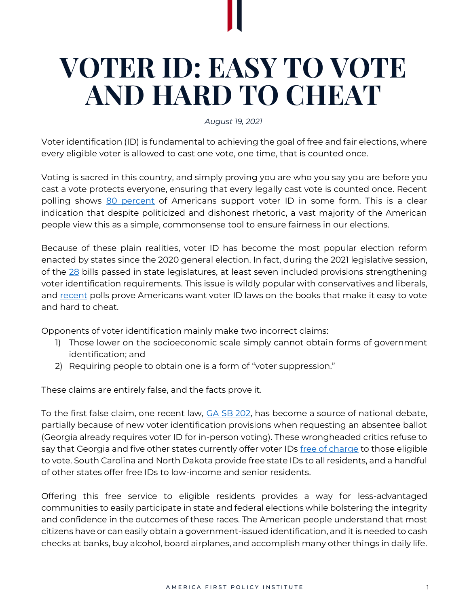## **VOTER ID: EASY TO VOTE AND HARD TO CHEAT**

*August 19, 2021*

Voter identification (ID) is fundamental to achieving the goal of free and fair elections, where every eligible voter is allowed to cast one vote, one time, that is counted once.

Voting is sacred in this country, and simply proving you are who you say you are before you cast a vote protects everyone, ensuring that every legally cast vote is counted once. Recent polling shows [80 percent](https://thefederalist.com/2021/06/22/poll-80-percent-of-americans-support-voter-id-laws/) of Americans support voter ID in some form. This is a clear indication that despite politicized and dishonest rhetoric, a vast majority of the American people view this as a simple, commonsense tool to ensure fairness in our elections.

Because of these plain realities, voter ID has become the most popular election reform enacted by states since the 2020 general election. In fact, during the 2021 legislative session, of the [28](https://docs.google.com/spreadsheets/d/1-tZiTOTJkq4kDKPQtzLaQjtjWssP8B0zj36UlKq3P9g/edit#gid=342516381) bills passed in state legislatures, at least seven included provisions strengthening voter identification requirements. This issue is wildly popular with conservatives and liberals, and [recent](https://thefederalist.com/2021/06/22/poll-80-percent-of-americans-support-voter-id-laws/) polls prove Americans want voter ID laws on the books that make it easy to vote and hard to cheat.

Opponents of voter identification mainly make two incorrect claims:

- 1) Those lower on the socioeconomic scale simply cannot obtain forms of government identification; and
- 2) Requiring people to obtain one is a form of "voter suppression."

These claims are entirely false, and the facts prove it.

To the first false claim, one recent law, *GA SB 202*, has become a source of national debate, partially because of new voter identification provisions when requesting an absentee ballot (Georgia already requires voter ID for in-person voting). These wrongheaded critics refuse to say that Georgia and five other states currently offer voter IDs free of [charge](https://www.inquirer.com/philly/news/pennsylvania/id-fee-identification-homeless-philadelphia-20180925.html) to those eligible to vote. South Carolina and North Dakota provide free state IDs to all residents, and a handful of other states offer free IDs to low-income and senior residents.

Offering this free service to eligible residents provides a way for less-advantaged communities to easily participate in state and federal elections while bolstering the integrity and confidence in the outcomes of these races. The American people understand that most citizens have or can easily obtain a government-issued identification, and it is needed to cash checks at banks, buy alcohol, board airplanes, and accomplish many other things in daily life.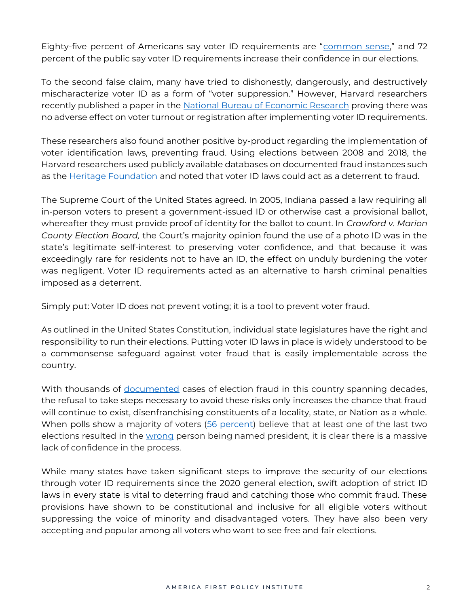Eighty-five percent of Americans say voter ID requirements are "[common sense](https://www.washingtonexaminer.com/washington-secrets/nearly-9-in-10-call-voter-photo-id-common-sense-most-back-limits-on-mail-in-ballots)," and 72 percent of the public say voter ID requirements increase their confidence in our elections.

To the second false claim, many have tried to dishonestly, dangerously, and destructively mischaracterize voter ID as a form of "voter suppression." However, Harvard researchers recently published a paper in the [National Bureau of Economic Research](https://www.nber.org/papers/w25522) proving there was no adverse effect on voter turnout or registration after implementing voter ID requirements.

These researchers also found another positive by-product regarding the implementation of voter identification laws, preventing fraud. Using elections between 2008 and 2018, the Harvard researchers used publicly available databases on documented fraud instances such as the [Heritage Foundation](https://www.heritage.org/election-integrity/commentary/new-study-confirms-voter-id-laws-dont-hurt-election-turnout) and noted that voter ID laws could act as a deterrent to fraud.

The Supreme Court of the United States agreed. In 2005, Indiana passed a law requiring all in-person voters to present a government-issued ID or otherwise cast a provisional ballot, whereafter they must provide proof of identity for the ballot to count. In *Crawford v. Marion County Election Board,* the Court's majority opinion found the use of a photo ID was in the state's legitimate self-interest to preserving voter confidence, and that because it was exceedingly rare for residents not to have an ID, the effect on unduly burdening the voter was negligent. Voter ID requirements acted as an alternative to harsh criminal penalties imposed as a deterrent.

Simply put: Voter ID does not prevent voting; it is a tool to prevent voter fraud.

As outlined in the United States Constitution, individual state legislatures have the right and responsibility to run their elections. Putting voter ID laws in place is widely understood to be a commonsense safeguard against voter fraud that is easily implementable across the country.

With thousands of [documented](https://www.heritage.org/voterfraud) cases of election fraud in this country spanning decades, the refusal to take steps necessary to avoid these risks only increases the chance that fraud will continue to exist, disenfranchising constituents of a locality, state, or Nation as a whole. When polls show a majority of voters [\(56 percent\)](https://www.pewresearch.org/fact-tank/2021/07/22/wide-partisan-divide-on-whether-voting-is-a-fundamental-right-or-a-privilege-with-responsibilities/) believe that at least one of the last two elections resulted in the [wrong](https://scottrasmussen.com/just-26-believe-the-right-person-was-declared-winner-in-last-two-presidential-elections/) person being named president, it is clear there is a massive lack of confidence in the process.

While many states have taken significant steps to improve the security of our elections through voter ID requirements since the 2020 general election, swift adoption of strict ID laws in every state is vital to deterring fraud and catching those who commit fraud. These provisions have shown to be constitutional and inclusive for all eligible voters without suppressing the voice of minority and disadvantaged voters. They have also been very accepting and popular among all voters who want to see free and fair elections.